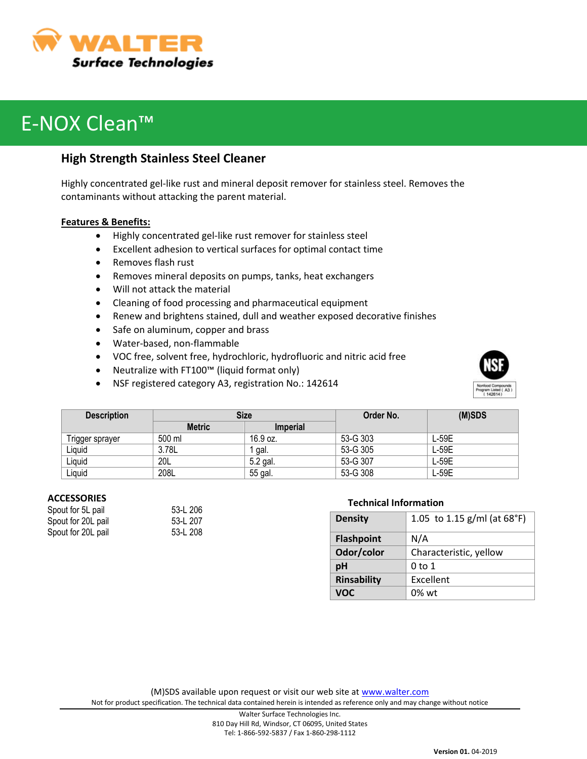

# E-NOX Clean™

### **High Strength Stainless Steel Cleaner**

Highly concentrated gel-like rust and mineral deposit remover for stainless steel. Removes the contaminants without attacking the parent material.

#### **Features & Benefits:**

- Highly concentrated gel-like rust remover for stainless steel
- Excellent adhesion to vertical surfaces for optimal contact time
- Removes flash rust
- Removes mineral deposits on pumps, tanks, heat exchangers
- Will not attack the material
- Cleaning of food processing and pharmaceutical equipment
- Renew and brightens stained, dull and weather exposed decorative finishes
- Safe on aluminum, copper and brass
- Water-based, non-flammable
- VOC free, solvent free, hydrochloric, hydrofluoric and nitric acid free
- Neutralize with FT100™ (liquid format only)
- NSF registered category A3, registration No.: 142614



| <b>Description</b> | <b>Size</b>   |                 | Order No. | (M)SDS  |
|--------------------|---------------|-----------------|-----------|---------|
|                    | <b>Metric</b> | <b>Imperial</b> |           |         |
| Trigger sprayer    | 500 ml        | 16.9 oz.        | 53-G 303  | L-59E   |
| Liquid             | 3.78L         | gal.            | 53-G 305  | $L-59E$ |
| Liquid             | 20L           | 5.2 gal.        | 53-G 307  | L-59E   |
| Liquid             | 208L          | 55 gal.         | 53-G 308  | L-59E   |

#### **ACCESSORIES**

| 53-L 206 |
|----------|
| 53-L 207 |
| 53-L 208 |
|          |

| i3-L 206 |  |
|----------|--|
| i3-L 207 |  |
| i3-L 208 |  |

#### **Technical Information**

| <b>Density</b>    | 1.05 to 1.15 g/ml (at 68°F) |
|-------------------|-----------------------------|
| <b>Flashpoint</b> | N/A                         |
| Odor/color        | Characteristic, yellow      |
| pH                | 0 to 1                      |
| Rinsability       | Excellent                   |
| VOC.              | $0\%$ wt                    |

(M)SDS available upon request or visit our web site at [www.walter.com](http://www.walter.com/) Not for product specification. The technical data contained herein is intended as reference only and may change without notice